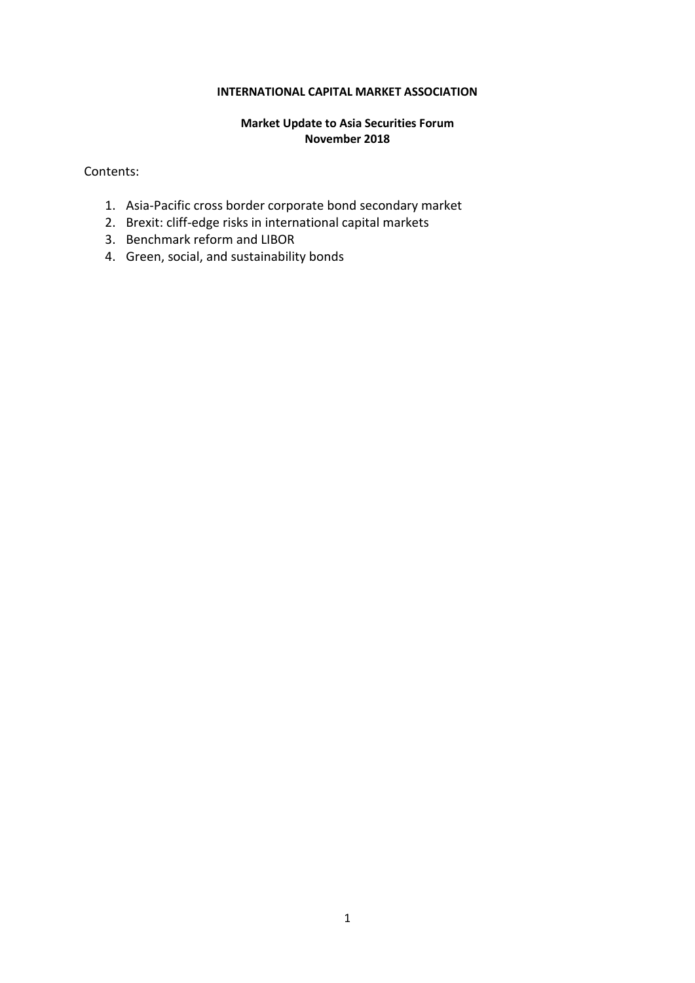#### **INTERNATIONAL CAPITAL MARKET ASSOCIATION**

## **Market Update to Asia Securities Forum November 2018**

Contents:

- 1. [Asia-Pacific cross border corporate bond secondary market](https://lilo.us11.list-manage.com/track/click?u=b205184c508371a5b962c65f8&id=dead5c2c37&e=afb64ed6c0)
- 2. Brexit: cliff-edge risks in international capital markets
- 3. Benchmark reform and LIBOR
- 4. Green, social, and sustainability bonds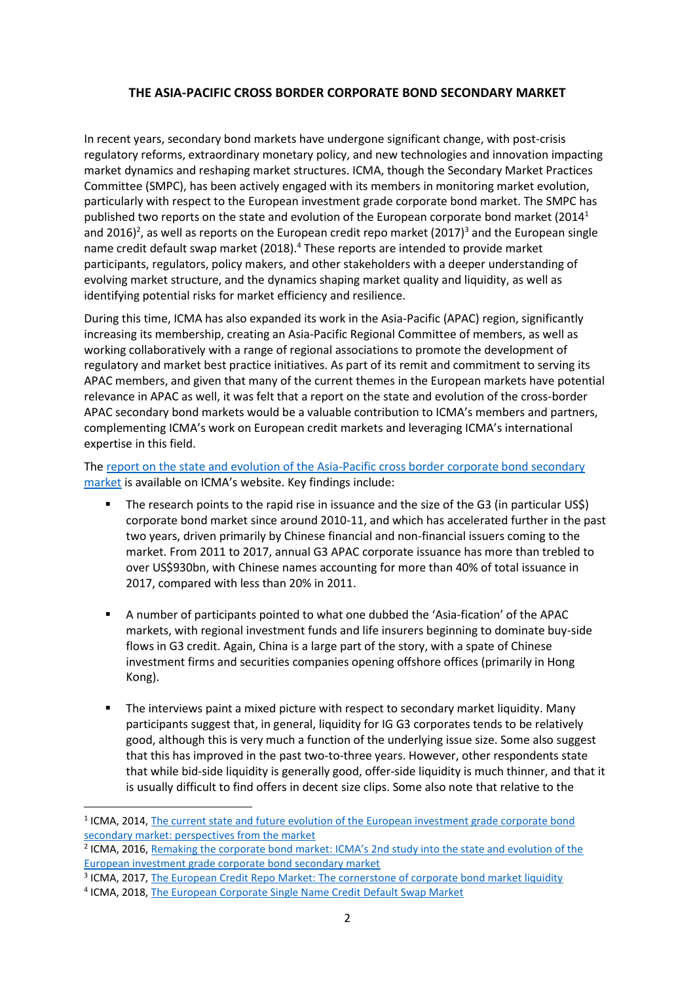# **THE ASIA-PACIFIC CROSS BORDER CORPORATE BOND SECONDARY MARKET**

In recent years, secondary bond markets have undergone significant change, with post-crisis regulatory reforms, extraordinary monetary policy, and new technologies and innovation impacting market dynamics and reshaping market structures. ICMA, though the Secondary Market Practices Committee (SMPC), has been actively engaged with its members in monitoring market evolution, particularly with respect to the European investment grade corporate bond market. The SMPC has published two reports on the state and evolution of the European corporate bond market  $(2014<sup>1</sup>$ and 2016)<sup>2</sup>, as well as reports on the European credit repo market (2017)<sup>3</sup> and the European single name credit default swap market (2018).<sup>4</sup> These reports are intended to provide market participants, regulators, policy makers, and other stakeholders with a deeper understanding of evolving market structure, and the dynamics shaping market quality and liquidity, as well as identifying potential risks for market efficiency and resilience.

During this time, ICMA has also expanded its work in the Asia-Pacific (APAC) region, significantly increasing its membership, creating an Asia-Pacific Regional Committee of members, as well as working collaboratively with a range of regional associations to promote the development of regulatory and market best practice initiatives. As part of its remit and commitment to serving its APAC members, and given that many of the current themes in the European markets have potential relevance in APAC as well, it was felt that a report on the state and evolution of the cross-border APAC secondary bond markets would be a valuable contribution to ICMA's members and partners, complementing ICMA's work on European credit markets and leveraging ICMA's international expertise in this field.

The [report on the state and evolution of the Asia-Pacific cross border corporate bond secondary](https://lilo.us11.list-manage.com/track/click?u=b205184c508371a5b962c65f8&id=dead5c2c37&e=afb64ed6c0)  [market](https://lilo.us11.list-manage.com/track/click?u=b205184c508371a5b962c65f8&id=dead5c2c37&e=afb64ed6c0) is available on ICMA's website. Key findings include:

- The research points to the rapid rise in issuance and the size of the G3 (in particular US\$) corporate bond market since around 2010-11, and which has accelerated further in the past two years, driven primarily by Chinese financial and non-financial issuers coming to the market. From 2011 to 2017, annual G3 APAC corporate issuance has more than trebled to over US\$930bn, with Chinese names accounting for more than 40% of total issuance in 2017, compared with less than 20% in 2011.
- A number of participants pointed to what one dubbed the 'Asia-fication' of the APAC markets, with regional investment funds and life insurers beginning to dominate buy-side flows in G3 credit. Again, China is a large part of the story, with a spate of Chinese investment firms and securities companies opening offshore offices (primarily in Hong Kong).
- The interviews paint a mixed picture with respect to secondary market liquidity. Many participants suggest that, in general, liquidity for IG G3 corporates tends to be relatively good, although this is very much a function of the underlying issue size. Some also suggest that this has improved in the past two-to-three years. However, other respondents state that while bid-side liquidity is generally good, offer-side liquidity is much thinner, and that it is usually difficult to find offers in decent size clips. Some also note that relative to the

<sup>3</sup> ICMA, 2017[, The European Credit Repo Market: The cornerstone of corporate bond market liquidity](https://www.icmagroup.org/assets/documents/Regulatory/Repo/The-European-Credit-Repo-Market-June-2017-190917.pdf)

**.** 

<sup>&</sup>lt;sup>1</sup> ICMA, 2014, The current state and future evolution of the European investment grade corporate bond [secondary market: perspectives from the market](https://www.icmagroup.org/assets/documents/Regulatory/Secondary-markets/The-state-of-the-European-investment-grade-corporate-bond-secondary-market_ICMA-SMPC_Report-251114-Final3.pdf)

<sup>&</sup>lt;sup>2</sup> ICMA, 2016, Remaking the corporate bond market: ICMA's 2nd study into the state and evolution of the [European investment grade corporate bond secondary market](https://www.icmagroup.org/assets/documents/Regulatory/Secondary-markets/Remaking-the-Corporate-Bond-Market-250716.pdf)

<sup>&</sup>lt;sup>4</sup> ICMA, 2018[, The European Corporate Single Name Credit Default Swap Market](https://www.icmagroup.org/assets/documents/Regulatory/Secondary-markets/The-European-Corporate-Single-Name-Credit-Default-Swap-Market-250518.pdf)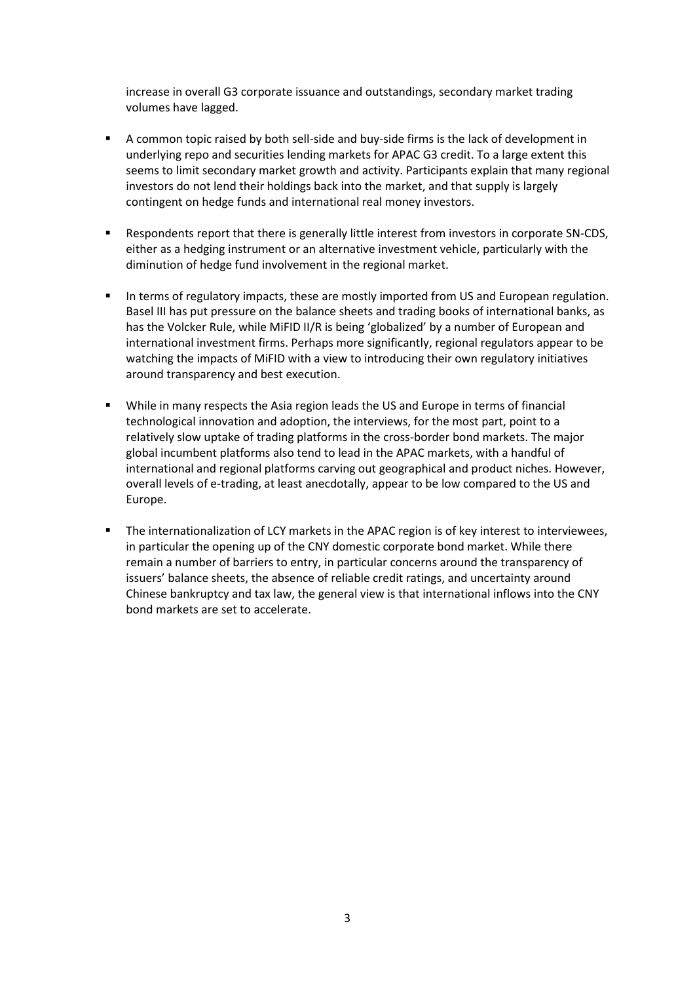increase in overall G3 corporate issuance and outstandings, secondary market trading volumes have lagged.

- A common topic raised by both sell-side and buy-side firms is the lack of development in underlying repo and securities lending markets for APAC G3 credit. To a large extent this seems to limit secondary market growth and activity. Participants explain that many regional investors do not lend their holdings back into the market, and that supply is largely contingent on hedge funds and international real money investors.
- Respondents report that there is generally little interest from investors in corporate SN-CDS, either as a hedging instrument or an alternative investment vehicle, particularly with the diminution of hedge fund involvement in the regional market.
- **■** In terms of regulatory impacts, these are mostly imported from US and European regulation. Basel III has put pressure on the balance sheets and trading books of international banks, as has the Volcker Rule, while MiFID II/R is being 'globalized' by a number of European and international investment firms. Perhaps more significantly, regional regulators appear to be watching the impacts of MiFID with a view to introducing their own regulatory initiatives around transparency and best execution.
- While in many respects the Asia region leads the US and Europe in terms of financial technological innovation and adoption, the interviews, for the most part, point to a relatively slow uptake of trading platforms in the cross-border bond markets. The major global incumbent platforms also tend to lead in the APAC markets, with a handful of international and regional platforms carving out geographical and product niches. However, overall levels of e-trading, at least anecdotally, appear to be low compared to the US and Europe.
- The internationalization of LCY markets in the APAC region is of key interest to interviewees, in particular the opening up of the CNY domestic corporate bond market. While there remain a number of barriers to entry, in particular concerns around the transparency of issuers' balance sheets, the absence of reliable credit ratings, and uncertainty around Chinese bankruptcy and tax law, the general view is that international inflows into the CNY bond markets are set to accelerate.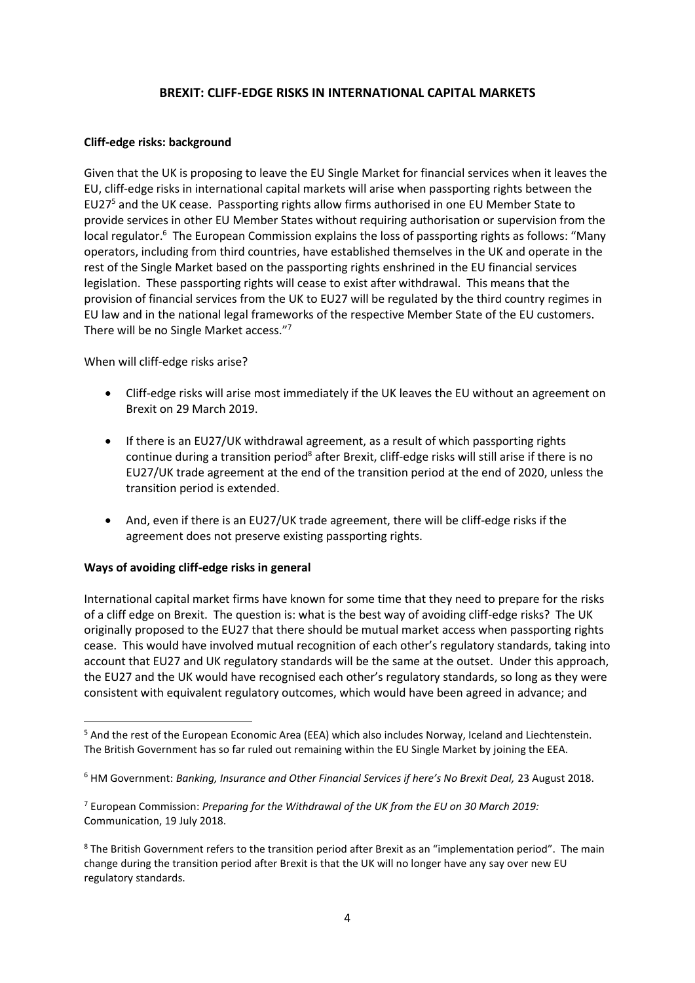### **BREXIT: CLIFF-EDGE RISKS IN INTERNATIONAL CAPITAL MARKETS**

#### **Cliff-edge risks: background**

Given that the UK is proposing to leave the EU Single Market for financial services when it leaves the EU, cliff-edge risks in international capital markets will arise when passporting rights between the EU27<sup>5</sup> and the UK cease. Passporting rights allow firms authorised in one EU Member State to provide services in other EU Member States without requiring authorisation or supervision from the local regulator.<sup>6</sup> The European Commission explains the loss of passporting rights as follows: "Many operators, including from third countries, have established themselves in the UK and operate in the rest of the Single Market based on the passporting rights enshrined in the EU financial services legislation. These passporting rights will cease to exist after withdrawal. This means that the provision of financial services from the UK to EU27 will be regulated by the third country regimes in EU law and in the national legal frameworks of the respective Member State of the EU customers. There will be no Single Market access."<sup>7</sup>

#### When will cliff-edge risks arise?

- Cliff-edge risks will arise most immediately if the UK leaves the EU without an agreement on Brexit on 29 March 2019.
- If there is an EU27/UK withdrawal agreement, as a result of which passporting rights continue during a transition period<sup>8</sup> after Brexit, cliff-edge risks will still arise if there is no EU27/UK trade agreement at the end of the transition period at the end of 2020, unless the transition period is extended.
- And, even if there is an EU27/UK trade agreement, there will be cliff-edge risks if the agreement does not preserve existing passporting rights.

## **Ways of avoiding cliff-edge risks in general**

International capital market firms have known for some time that they need to prepare for the risks of a cliff edge on Brexit. The question is: what is the best way of avoiding cliff-edge risks? The UK originally proposed to the EU27 that there should be mutual market access when passporting rights cease. This would have involved mutual recognition of each other's regulatory standards, taking into account that EU27 and UK regulatory standards will be the same at the outset. Under this approach, the EU27 and the UK would have recognised each other's regulatory standards, so long as they were consistent with equivalent regulatory outcomes, which would have been agreed in advance; and

**<sup>.</sup>** <sup>5</sup> And the rest of the European Economic Area (EEA) which also includes Norway, Iceland and Liechtenstein. The British Government has so far ruled out remaining within the EU Single Market by joining the EEA.

<sup>&</sup>lt;sup>6</sup> HM Government: *Banking, Insurance and Other Financial Services if here's No Brexit Deal, 23 August 2018.* 

<sup>7</sup> European Commission: *Preparing for the Withdrawal of the UK from the EU on 30 March 2019:*  Communication, 19 July 2018.

<sup>&</sup>lt;sup>8</sup> The British Government refers to the transition period after Brexit as an "implementation period". The main change during the transition period after Brexit is that the UK will no longer have any say over new EU regulatory standards.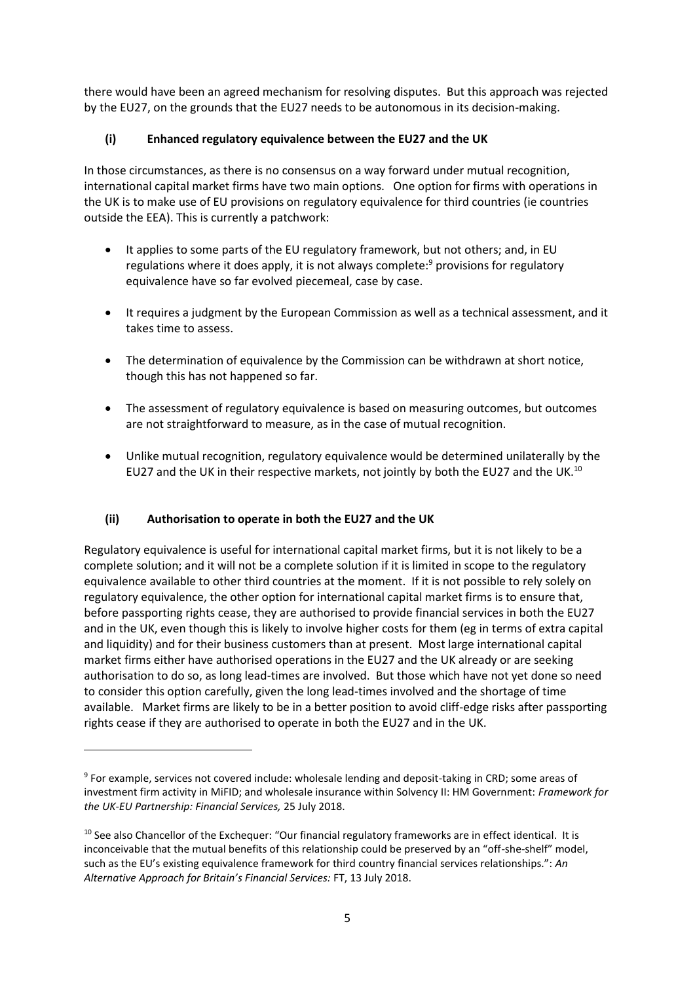there would have been an agreed mechanism for resolving disputes. But this approach was rejected by the EU27, on the grounds that the EU27 needs to be autonomous in its decision-making.

# **(i) Enhanced regulatory equivalence between the EU27 and the UK**

In those circumstances, as there is no consensus on a way forward under mutual recognition, international capital market firms have two main options. One option for firms with operations in the UK is to make use of EU provisions on regulatory equivalence for third countries (ie countries outside the EEA). This is currently a patchwork:

- It applies to some parts of the EU regulatory framework, but not others; and, in EU regulations where it does apply, it is not always complete: $9$  provisions for regulatory equivalence have so far evolved piecemeal, case by case.
- It requires a judgment by the European Commission as well as a technical assessment, and it takes time to assess.
- The determination of equivalence by the Commission can be withdrawn at short notice, though this has not happened so far.
- The assessment of regulatory equivalence is based on measuring outcomes, but outcomes are not straightforward to measure, as in the case of mutual recognition.
- Unlike mutual recognition, regulatory equivalence would be determined unilaterally by the EU27 and the UK in their respective markets, not jointly by both the EU27 and the UK.<sup>10</sup>

# **(ii) Authorisation to operate in both the EU27 and the UK**

1

Regulatory equivalence is useful for international capital market firms, but it is not likely to be a complete solution; and it will not be a complete solution if it is limited in scope to the regulatory equivalence available to other third countries at the moment. If it is not possible to rely solely on regulatory equivalence, the other option for international capital market firms is to ensure that, before passporting rights cease, they are authorised to provide financial services in both the EU27 and in the UK, even though this is likely to involve higher costs for them (eg in terms of extra capital and liquidity) and for their business customers than at present. Most large international capital market firms either have authorised operations in the EU27 and the UK already or are seeking authorisation to do so, as long lead-times are involved. But those which have not yet done so need to consider this option carefully, given the long lead-times involved and the shortage of time available. Market firms are likely to be in a better position to avoid cliff-edge risks after passporting rights cease if they are authorised to operate in both the EU27 and in the UK.

<sup>&</sup>lt;sup>9</sup> For example, services not covered include: wholesale lending and deposit-taking in CRD; some areas of investment firm activity in MiFID; and wholesale insurance within Solvency II: HM Government: *Framework for the UK-EU Partnership: Financial Services,* 25 July 2018.

<sup>&</sup>lt;sup>10</sup> See also Chancellor of the Exchequer: "Our financial regulatory frameworks are in effect identical. It is inconceivable that the mutual benefits of this relationship could be preserved by an "off-she-shelf" model, such as the EU's existing equivalence framework for third country financial services relationships.": *An Alternative Approach for Britain's Financial Services:* FT, 13 July 2018.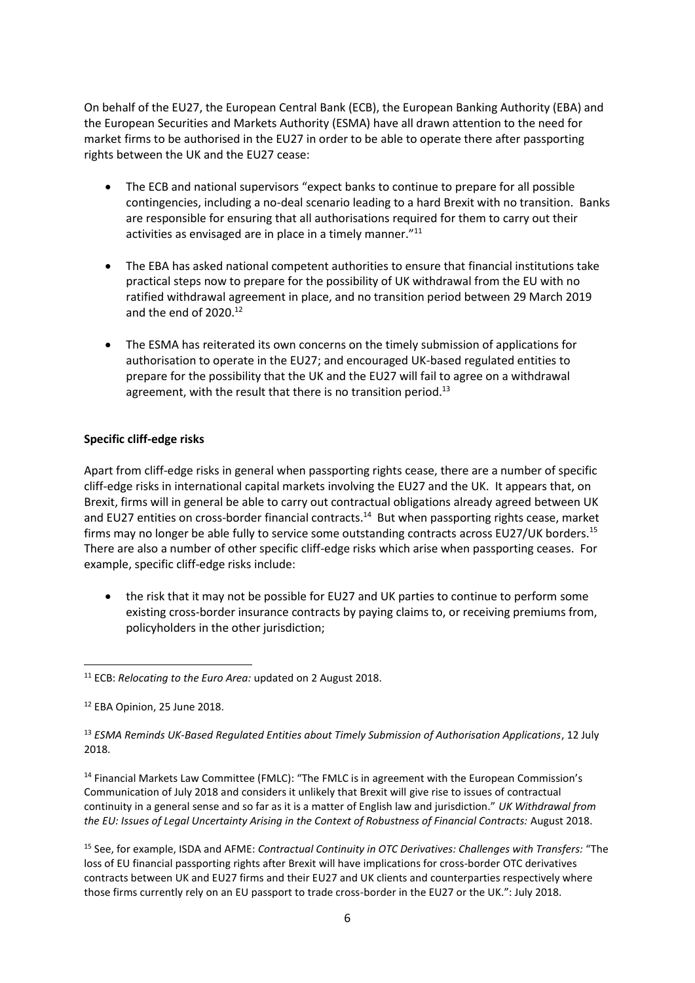On behalf of the EU27, the European Central Bank (ECB), the European Banking Authority (EBA) and the European Securities and Markets Authority (ESMA) have all drawn attention to the need for market firms to be authorised in the EU27 in order to be able to operate there after passporting rights between the UK and the EU27 cease:

- The ECB and national supervisors "expect banks to continue to prepare for all possible contingencies, including a no-deal scenario leading to a hard Brexit with no transition. Banks are responsible for ensuring that all authorisations required for them to carry out their activities as envisaged are in place in a timely manner."<sup>11</sup>
- The EBA has asked national competent authorities to ensure that financial institutions take practical steps now to prepare for the possibility of UK withdrawal from the EU with no ratified withdrawal agreement in place, and no transition period between 29 March 2019 and the end of 2020.<sup>12</sup>
- The ESMA has reiterated its own concerns on the timely submission of applications for authorisation to operate in the EU27; and encouraged UK-based regulated entities to prepare for the possibility that the UK and the EU27 will fail to agree on a withdrawal agreement, with the result that there is no transition period.<sup>13</sup>

#### **Specific cliff-edge risks**

Apart from cliff-edge risks in general when passporting rights cease, there are a number of specific cliff-edge risks in international capital markets involving the EU27 and the UK. It appears that, on Brexit, firms will in general be able to carry out contractual obligations already agreed between UK and EU27 entities on cross-border financial contracts.<sup>14</sup> But when passporting rights cease, market firms may no longer be able fully to service some outstanding contracts across EU27/UK borders.<sup>15</sup> There are also a number of other specific cliff-edge risks which arise when passporting ceases. For example, specific cliff-edge risks include:

• the risk that it may not be possible for EU27 and UK parties to continue to perform some existing cross-border insurance contracts by paying claims to, or receiving premiums from, policyholders in the other jurisdiction;

<sup>14</sup> Financial Markets Law Committee (FMLC): "The FMLC is in agreement with the European Commission's Communication of July 2018 and considers it unlikely that Brexit will give rise to issues of contractual continuity in a general sense and so far as it is a matter of English law and jurisdiction." *UK Withdrawal from the EU: Issues of Legal Uncertainty Arising in the Context of Robustness of Financial Contracts:* August 2018.

<sup>15</sup> See, for example, ISDA and AFME: *Contractual Continuity in OTC Derivatives: Challenges with Transfers:* "The loss of EU financial passporting rights after Brexit will have implications for cross-border OTC derivatives contracts between UK and EU27 firms and their EU27 and UK clients and counterparties respectively where those firms currently rely on an EU passport to trade cross-border in the EU27 or the UK.": July 2018.

 $\overline{a}$ <sup>11</sup> ECB: *Relocating to the Euro Area:* updated on 2 August 2018.

<sup>&</sup>lt;sup>12</sup> EBA Opinion, 25 June 2018.

<sup>13</sup> *ESMA Reminds UK-Based Regulated Entities about Timely Submission of Authorisation Applications*, 12 July 2018.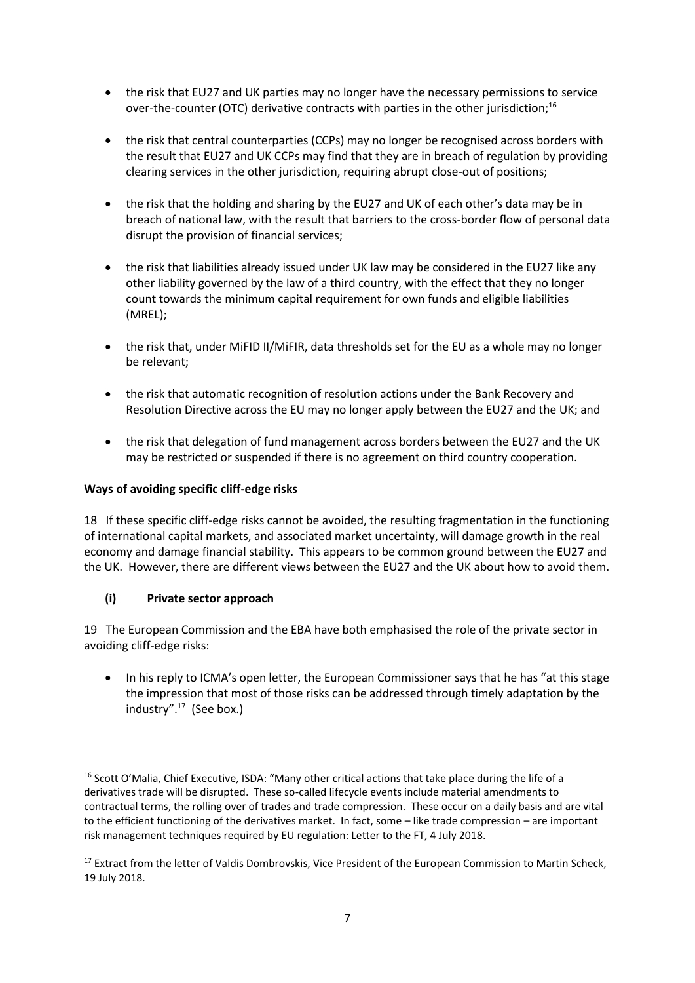- the risk that EU27 and UK parties may no longer have the necessary permissions to service over-the-counter (OTC) derivative contracts with parties in the other jurisdiction;<sup>16</sup>
- the risk that central counterparties (CCPs) may no longer be recognised across borders with the result that EU27 and UK CCPs may find that they are in breach of regulation by providing clearing services in the other jurisdiction, requiring abrupt close-out of positions;
- the risk that the holding and sharing by the EU27 and UK of each other's data may be in breach of national law, with the result that barriers to the cross-border flow of personal data disrupt the provision of financial services;
- the risk that liabilities already issued under UK law may be considered in the EU27 like any other liability governed by the law of a third country, with the effect that they no longer count towards the minimum capital requirement for own funds and eligible liabilities (MREL);
- the risk that, under MiFID II/MiFIR, data thresholds set for the EU as a whole may no longer be relevant;
- the risk that automatic recognition of resolution actions under the Bank Recovery and Resolution Directive across the EU may no longer apply between the EU27 and the UK; and
- the risk that delegation of fund management across borders between the EU27 and the UK may be restricted or suspended if there is no agreement on third country cooperation.

## **Ways of avoiding specific cliff-edge risks**

18 If these specific cliff-edge risks cannot be avoided, the resulting fragmentation in the functioning of international capital markets, and associated market uncertainty, will damage growth in the real economy and damage financial stability. This appears to be common ground between the EU27 and the UK. However, there are different views between the EU27 and the UK about how to avoid them.

## **(i) Private sector approach**

1

19 The European Commission and the EBA have both emphasised the role of the private sector in avoiding cliff-edge risks:

• In his reply to ICMA's open letter, the European Commissioner says that he has "at this stage the impression that most of those risks can be addressed through timely adaptation by the industry".<sup>17</sup> (See box.)

<sup>&</sup>lt;sup>16</sup> Scott O'Malia, Chief Executive, ISDA: "Many other critical actions that take place during the life of a derivatives trade will be disrupted. These so-called lifecycle events include material amendments to contractual terms, the rolling over of trades and trade compression. These occur on a daily basis and are vital to the efficient functioning of the derivatives market. In fact, some – like trade compression – are important risk management techniques required by EU regulation: Letter to the FT, 4 July 2018.

<sup>&</sup>lt;sup>17</sup> Extract from the letter of Valdis Dombrovskis, Vice President of the European Commission to Martin Scheck, 19 July 2018.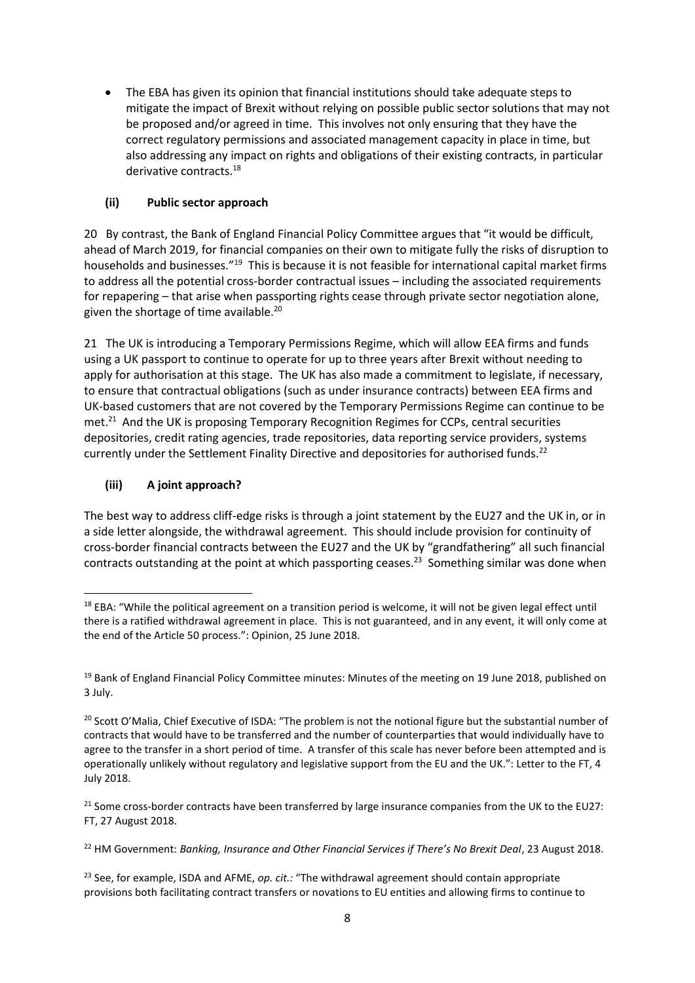• The EBA has given its opinion that financial institutions should take adequate steps to mitigate the impact of Brexit without relying on possible public sector solutions that may not be proposed and/or agreed in time. This involves not only ensuring that they have the correct regulatory permissions and associated management capacity in place in time, but also addressing any impact on rights and obligations of their existing contracts, in particular derivative contracts.<sup>18</sup>

# **(ii) Public sector approach**

20 By contrast, the Bank of England Financial Policy Committee argues that "it would be difficult, ahead of March 2019, for financial companies on their own to mitigate fully the risks of disruption to households and businesses."<sup>19</sup> This is because it is not feasible for international capital market firms to address all the potential cross-border contractual issues – including the associated requirements for repapering – that arise when passporting rights cease through private sector negotiation alone, given the shortage of time available.<sup>20</sup>

21 The UK is introducing a Temporary Permissions Regime, which will allow EEA firms and funds using a UK passport to continue to operate for up to three years after Brexit without needing to apply for authorisation at this stage. The UK has also made a commitment to legislate, if necessary, to ensure that contractual obligations (such as under insurance contracts) between EEA firms and UK-based customers that are not covered by the Temporary Permissions Regime can continue to be met.<sup>21</sup> And the UK is proposing Temporary Recognition Regimes for CCPs, central securities depositories, credit rating agencies, trade repositories, data reporting service providers, systems currently under the Settlement Finality Directive and depositories for authorised funds.<sup>22</sup>

# **(iii) A joint approach?**

The best way to address cliff-edge risks is through a joint statement by the EU27 and the UK in, or in a side letter alongside, the withdrawal agreement. This should include provision for continuity of cross-border financial contracts between the EU27 and the UK by "grandfathering" all such financial contracts outstanding at the point at which passporting ceases.<sup>23</sup> Something similar was done when

**<sup>.</sup>** <sup>18</sup> EBA: "While the political agreement on a transition period is welcome, it will not be given legal effect until there is a ratified withdrawal agreement in place. This is not guaranteed, and in any event, it will only come at the end of the Article 50 process.": Opinion, 25 June 2018.

<sup>&</sup>lt;sup>19</sup> Bank of England Financial Policy Committee minutes: Minutes of the meeting on 19 June 2018, published on 3 July.

<sup>&</sup>lt;sup>20</sup> Scott O'Malia, Chief Executive of ISDA: "The problem is not the notional figure but the substantial number of contracts that would have to be transferred and the number of counterparties that would individually have to agree to the transfer in a short period of time. A transfer of this scale has never before been attempted and is operationally unlikely without regulatory and legislative support from the EU and the UK.": Letter to the FT, 4 July 2018.

<sup>&</sup>lt;sup>21</sup> Some cross-border contracts have been transferred by large insurance companies from the UK to the EU27: FT, 27 August 2018.

<sup>&</sup>lt;sup>22</sup> HM Government: *Banking, Insurance and Other Financial Services if There's No Brexit Deal, 23 August 2018.* 

<sup>23</sup> See, for example, ISDA and AFME, *op. cit.:* "The withdrawal agreement should contain appropriate provisions both facilitating contract transfers or novations to EU entities and allowing firms to continue to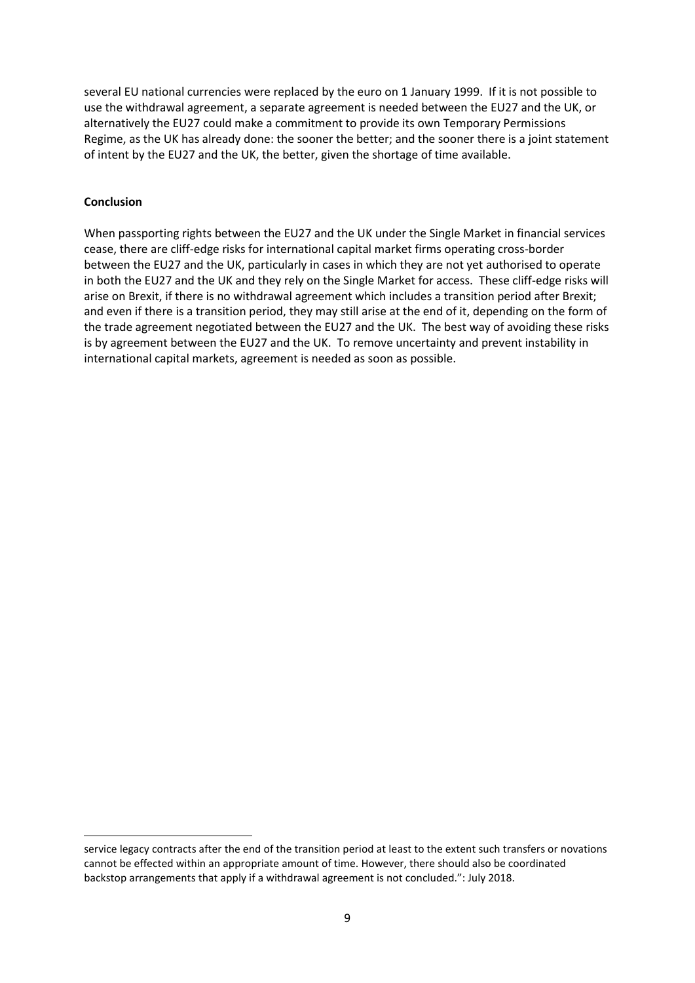several EU national currencies were replaced by the euro on 1 January 1999. If it is not possible to use the withdrawal agreement, a separate agreement is needed between the EU27 and the UK, or alternatively the EU27 could make a commitment to provide its own Temporary Permissions Regime, as the UK has already done: the sooner the better; and the sooner there is a joint statement of intent by the EU27 and the UK, the better, given the shortage of time available.

#### **Conclusion**

1

When passporting rights between the EU27 and the UK under the Single Market in financial services cease, there are cliff-edge risks for international capital market firms operating cross-border between the EU27 and the UK, particularly in cases in which they are not yet authorised to operate in both the EU27 and the UK and they rely on the Single Market for access. These cliff-edge risks will arise on Brexit, if there is no withdrawal agreement which includes a transition period after Brexit; and even if there is a transition period, they may still arise at the end of it, depending on the form of the trade agreement negotiated between the EU27 and the UK. The best way of avoiding these risks is by agreement between the EU27 and the UK. To remove uncertainty and prevent instability in international capital markets, agreement is needed as soon as possible.

service legacy contracts after the end of the transition period at least to the extent such transfers or novations cannot be effected within an appropriate amount of time. However, there should also be coordinated backstop arrangements that apply if a withdrawal agreement is not concluded.": July 2018.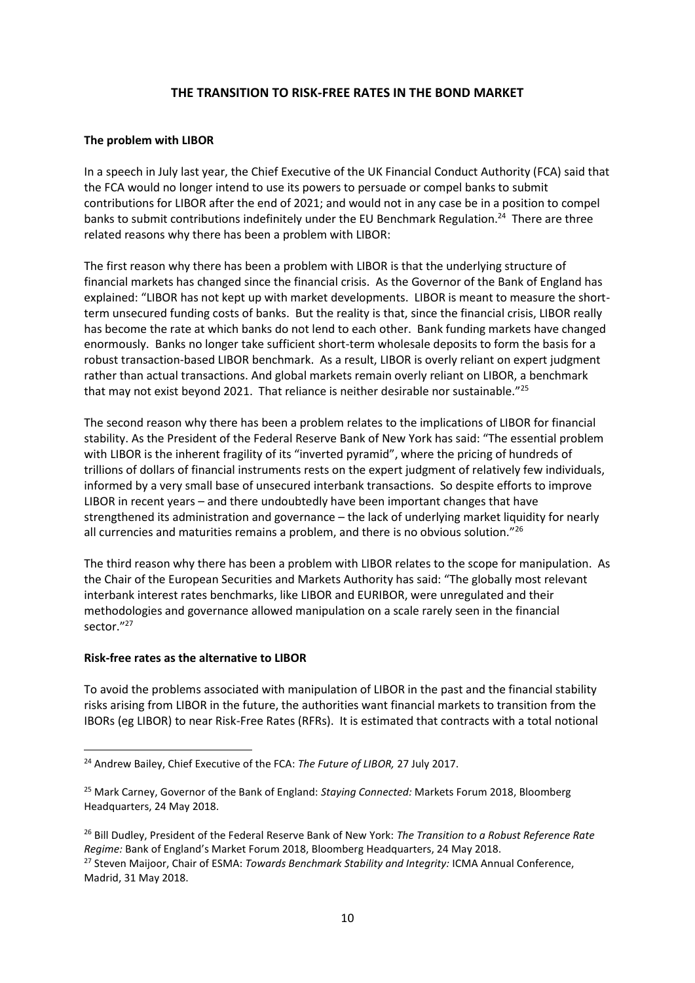### **THE TRANSITION TO RISK-FREE RATES IN THE BOND MARKET**

#### **The problem with LIBOR**

In a speech in July last year, the Chief Executive of the UK Financial Conduct Authority (FCA) said that the FCA would no longer intend to use its powers to persuade or compel banks to submit contributions for LIBOR after the end of 2021; and would not in any case be in a position to compel banks to submit contributions indefinitely under the EU Benchmark Regulation.<sup>24</sup> There are three related reasons why there has been a problem with LIBOR:

The first reason why there has been a problem with LIBOR is that the underlying structure of financial markets has changed since the financial crisis. As the Governor of the Bank of England has explained: "LIBOR has not kept up with market developments. LIBOR is meant to measure the shortterm unsecured funding costs of banks. But the reality is that, since the financial crisis, LIBOR really has become the rate at which banks do not lend to each other. Bank funding markets have changed enormously. Banks no longer take sufficient short-term wholesale deposits to form the basis for a robust transaction-based LIBOR benchmark. As a result, LIBOR is overly reliant on expert judgment rather than actual transactions. And global markets remain overly reliant on LIBOR, a benchmark that may not exist beyond 2021. That reliance is neither desirable nor sustainable." $^{25}$ 

The second reason why there has been a problem relates to the implications of LIBOR for financial stability. As the President of the Federal Reserve Bank of New York has said: "The essential problem with LIBOR is the inherent fragility of its "inverted pyramid", where the pricing of hundreds of trillions of dollars of financial instruments rests on the expert judgment of relatively few individuals, informed by a very small base of unsecured interbank transactions. So despite efforts to improve LIBOR in recent years – and there undoubtedly have been important changes that have strengthened its administration and governance – the lack of underlying market liquidity for nearly all currencies and maturities remains a problem, and there is no obvious solution."<sup>26</sup>

The third reason why there has been a problem with LIBOR relates to the scope for manipulation. As the Chair of the European Securities and Markets Authority has said: "The globally most relevant interbank interest rates benchmarks, like LIBOR and EURIBOR, were unregulated and their methodologies and governance allowed manipulation on a scale rarely seen in the financial sector."<sup>27</sup>

#### **Risk-free rates as the alternative to LIBOR**

1

To avoid the problems associated with manipulation of LIBOR in the past and the financial stability risks arising from LIBOR in the future, the authorities want financial markets to transition from the IBORs (eg LIBOR) to near Risk-Free Rates (RFRs). It is estimated that contracts with a total notional

<sup>24</sup> Andrew Bailey, Chief Executive of the FCA: *The Future of LIBOR,* 27 July 2017.

<sup>25</sup> Mark Carney, Governor of the Bank of England: *Staying Connected:* Markets Forum 2018, Bloomberg Headquarters, 24 May 2018.

<sup>26</sup> Bill Dudley, President of the Federal Reserve Bank of New York: *The Transition to a Robust Reference Rate Regime:* Bank of England's Market Forum 2018, Bloomberg Headquarters, 24 May 2018. <sup>27</sup> Steven Maijoor, Chair of ESMA: *Towards Benchmark Stability and Integrity:* ICMA Annual Conference, Madrid, 31 May 2018.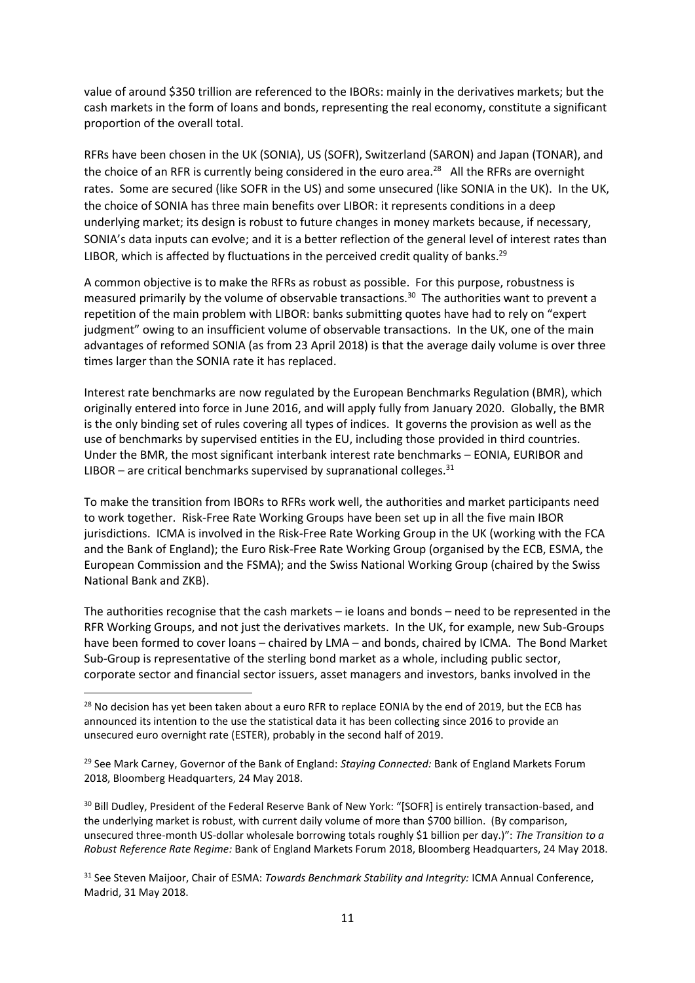value of around \$350 trillion are referenced to the IBORs: mainly in the derivatives markets; but the cash markets in the form of loans and bonds, representing the real economy, constitute a significant proportion of the overall total.

RFRs have been chosen in the UK (SONIA), US (SOFR), Switzerland (SARON) and Japan (TONAR), and the choice of an RFR is currently being considered in the euro area.<sup>28</sup> All the RFRs are overnight rates. Some are secured (like SOFR in the US) and some unsecured (like SONIA in the UK). In the UK, the choice of SONIA has three main benefits over LIBOR: it represents conditions in a deep underlying market; its design is robust to future changes in money markets because, if necessary, SONIA's data inputs can evolve; and it is a better reflection of the general level of interest rates than LIBOR, which is affected by fluctuations in the perceived credit quality of banks.<sup>29</sup>

A common objective is to make the RFRs as robust as possible. For this purpose, robustness is measured primarily by the volume of observable transactions.<sup>30</sup> The authorities want to prevent a repetition of the main problem with LIBOR: banks submitting quotes have had to rely on "expert judgment" owing to an insufficient volume of observable transactions. In the UK, one of the main advantages of reformed SONIA (as from 23 April 2018) is that the average daily volume is over three times larger than the SONIA rate it has replaced.

Interest rate benchmarks are now regulated by the European Benchmarks Regulation (BMR), which originally entered into force in June 2016, and will apply fully from January 2020. Globally, the BMR is the only binding set of rules covering all types of indices. It governs the provision as well as the use of benchmarks by supervised entities in the EU, including those provided in third countries. Under the BMR, the most significant interbank interest rate benchmarks – EONIA, EURIBOR and LIBOR – are critical benchmarks supervised by supranational colleges. $31$ 

To make the transition from IBORs to RFRs work well, the authorities and market participants need to work together. Risk-Free Rate Working Groups have been set up in all the five main IBOR jurisdictions. ICMA is involved in the Risk-Free Rate Working Group in the UK (working with the FCA and the Bank of England); the Euro Risk-Free Rate Working Group (organised by the ECB, ESMA, the European Commission and the FSMA); and the Swiss National Working Group (chaired by the Swiss National Bank and ZKB).

The authorities recognise that the cash markets – ie loans and bonds – need to be represented in the RFR Working Groups, and not just the derivatives markets. In the UK, for example, new Sub-Groups have been formed to cover loans – chaired by LMA – and bonds, chaired by ICMA. The Bond Market Sub-Group is representative of the sterling bond market as a whole, including public sector, corporate sector and financial sector issuers, asset managers and investors, banks involved in the

**.** 

<sup>30</sup> Bill Dudley, President of the Federal Reserve Bank of New York: "[SOFR] is entirely transaction-based, and the underlying market is robust, with current daily volume of more than \$700 billion. (By comparison, unsecured three-month US-dollar wholesale borrowing totals roughly \$1 billion per day.)": *The Transition to a Robust Reference Rate Regime:* Bank of England Markets Forum 2018, Bloomberg Headquarters, 24 May 2018.

<sup>&</sup>lt;sup>28</sup> No decision has yet been taken about a euro RFR to replace EONIA by the end of 2019, but the ECB has announced its intention to the use the statistical data it has been collecting since 2016 to provide an unsecured euro overnight rate (ESTER), probably in the second half of 2019.

<sup>29</sup> See Mark Carney, Governor of the Bank of England: *Staying Connected:* Bank of England Markets Forum 2018, Bloomberg Headquarters, 24 May 2018.

<sup>31</sup> See Steven Maijoor, Chair of ESMA: *Towards Benchmark Stability and Integrity:* ICMA Annual Conference, Madrid, 31 May 2018.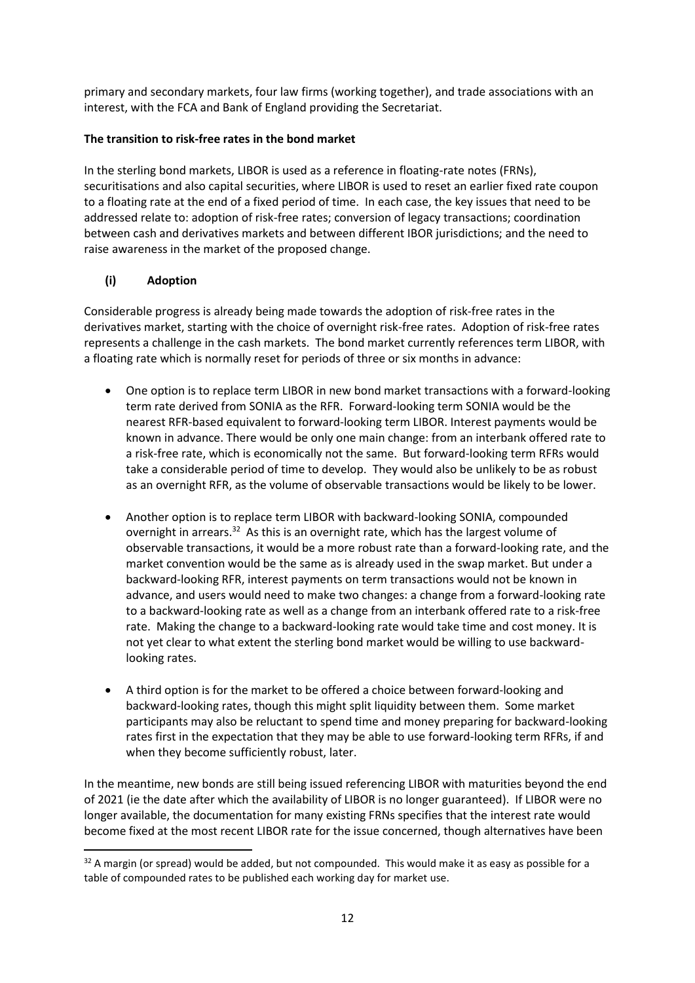primary and secondary markets, four law firms (working together), and trade associations with an interest, with the FCA and Bank of England providing the Secretariat.

# **The transition to risk-free rates in the bond market**

In the sterling bond markets, LIBOR is used as a reference in floating-rate notes (FRNs), securitisations and also capital securities, where LIBOR is used to reset an earlier fixed rate coupon to a floating rate at the end of a fixed period of time. In each case, the key issues that need to be addressed relate to: adoption of risk-free rates; conversion of legacy transactions; coordination between cash and derivatives markets and between different IBOR jurisdictions; and the need to raise awareness in the market of the proposed change.

# **(i) Adoption**

**.** 

Considerable progress is already being made towards the adoption of risk-free rates in the derivatives market, starting with the choice of overnight risk-free rates. Adoption of risk-free rates represents a challenge in the cash markets. The bond market currently references term LIBOR, with a floating rate which is normally reset for periods of three or six months in advance:

- One option is to replace term LIBOR in new bond market transactions with a forward-looking term rate derived from SONIA as the RFR. Forward-looking term SONIA would be the nearest RFR-based equivalent to forward-looking term LIBOR. Interest payments would be known in advance. There would be only one main change: from an interbank offered rate to a risk-free rate, which is economically not the same. But forward-looking term RFRs would take a considerable period of time to develop. They would also be unlikely to be as robust as an overnight RFR, as the volume of observable transactions would be likely to be lower.
- Another option is to replace term LIBOR with backward-looking SONIA, compounded overnight in arrears.<sup>32</sup> As this is an overnight rate, which has the largest volume of observable transactions, it would be a more robust rate than a forward-looking rate, and the market convention would be the same as is already used in the swap market. But under a backward-looking RFR, interest payments on term transactions would not be known in advance, and users would need to make two changes: a change from a forward-looking rate to a backward-looking rate as well as a change from an interbank offered rate to a risk-free rate. Making the change to a backward-looking rate would take time and cost money. It is not yet clear to what extent the sterling bond market would be willing to use backwardlooking rates.
- A third option is for the market to be offered a choice between forward-looking and backward-looking rates, though this might split liquidity between them. Some market participants may also be reluctant to spend time and money preparing for backward-looking rates first in the expectation that they may be able to use forward-looking term RFRs, if and when they become sufficiently robust, later.

In the meantime, new bonds are still being issued referencing LIBOR with maturities beyond the end of 2021 (ie the date after which the availability of LIBOR is no longer guaranteed). If LIBOR were no longer available, the documentation for many existing FRNs specifies that the interest rate would become fixed at the most recent LIBOR rate for the issue concerned, though alternatives have been

 $32$  A margin (or spread) would be added, but not compounded. This would make it as easy as possible for a table of compounded rates to be published each working day for market use.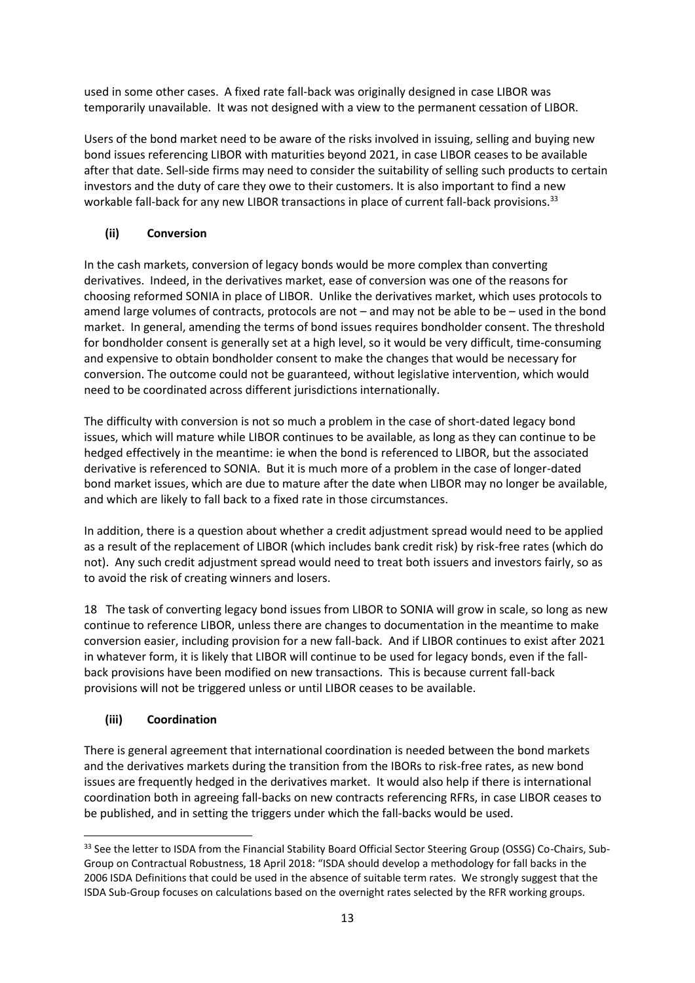used in some other cases. A fixed rate fall-back was originally designed in case LIBOR was temporarily unavailable. It was not designed with a view to the permanent cessation of LIBOR.

Users of the bond market need to be aware of the risks involved in issuing, selling and buying new bond issues referencing LIBOR with maturities beyond 2021, in case LIBOR ceases to be available after that date. Sell-side firms may need to consider the suitability of selling such products to certain investors and the duty of care they owe to their customers. It is also important to find a new workable fall-back for any new LIBOR transactions in place of current fall-back provisions.<sup>33</sup>

# **(ii) Conversion**

In the cash markets, conversion of legacy bonds would be more complex than converting derivatives. Indeed, in the derivatives market, ease of conversion was one of the reasons for choosing reformed SONIA in place of LIBOR. Unlike the derivatives market, which uses protocols to amend large volumes of contracts, protocols are not – and may not be able to be – used in the bond market. In general, amending the terms of bond issues requires bondholder consent. The threshold for bondholder consent is generally set at a high level, so it would be very difficult, time-consuming and expensive to obtain bondholder consent to make the changes that would be necessary for conversion. The outcome could not be guaranteed, without legislative intervention, which would need to be coordinated across different jurisdictions internationally.

The difficulty with conversion is not so much a problem in the case of short-dated legacy bond issues, which will mature while LIBOR continues to be available, as long as they can continue to be hedged effectively in the meantime: ie when the bond is referenced to LIBOR, but the associated derivative is referenced to SONIA. But it is much more of a problem in the case of longer-dated bond market issues, which are due to mature after the date when LIBOR may no longer be available, and which are likely to fall back to a fixed rate in those circumstances.

In addition, there is a question about whether a credit adjustment spread would need to be applied as a result of the replacement of LIBOR (which includes bank credit risk) by risk-free rates (which do not). Any such credit adjustment spread would need to treat both issuers and investors fairly, so as to avoid the risk of creating winners and losers.

18 The task of converting legacy bond issues from LIBOR to SONIA will grow in scale, so long as new continue to reference LIBOR, unless there are changes to documentation in the meantime to make conversion easier, including provision for a new fall-back. And if LIBOR continues to exist after 2021 in whatever form, it is likely that LIBOR will continue to be used for legacy bonds, even if the fallback provisions have been modified on new transactions. This is because current fall-back provisions will not be triggered unless or until LIBOR ceases to be available.

## **(iii) Coordination**

1

There is general agreement that international coordination is needed between the bond markets and the derivatives markets during the transition from the IBORs to risk-free rates, as new bond issues are frequently hedged in the derivatives market. It would also help if there is international coordination both in agreeing fall-backs on new contracts referencing RFRs, in case LIBOR ceases to be published, and in setting the triggers under which the fall-backs would be used.

<sup>33</sup> See the letter to ISDA from the Financial Stability Board Official Sector Steering Group (OSSG) Co-Chairs, Sub-Group on Contractual Robustness, 18 April 2018: "ISDA should develop a methodology for fall backs in the 2006 ISDA Definitions that could be used in the absence of suitable term rates. We strongly suggest that the ISDA Sub-Group focuses on calculations based on the overnight rates selected by the RFR working groups.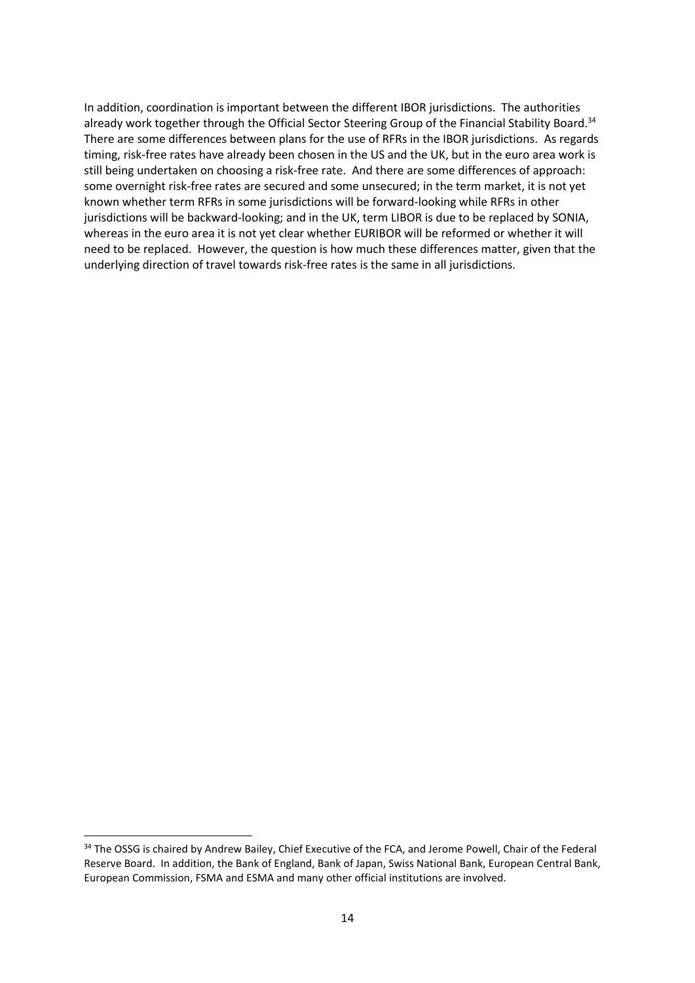In addition, coordination is important between the different IBOR jurisdictions. The authorities already work together through the Official Sector Steering Group of the Financial Stability Board.<sup>34</sup> There are some differences between plans for the use of RFRs in the IBOR jurisdictions. As regards timing, risk-free rates have already been chosen in the US and the UK, but in the euro area work is still being undertaken on choosing a risk-free rate. And there are some differences of approach: some overnight risk-free rates are secured and some unsecured; in the term market, it is not yet known whether term RFRs in some jurisdictions will be forward-looking while RFRs in other jurisdictions will be backward-looking; and in the UK, term LIBOR is due to be replaced by SONIA, whereas in the euro area it is not yet clear whether EURIBOR will be reformed or whether it will need to be replaced. However, the question is how much these differences matter, given that the underlying direction of travel towards risk-free rates is the same in all jurisdictions.

1

<sup>&</sup>lt;sup>34</sup> The OSSG is chaired by Andrew Bailey, Chief Executive of the FCA, and Jerome Powell, Chair of the Federal Reserve Board. In addition, the Bank of England, Bank of Japan, Swiss National Bank, European Central Bank, European Commission, FSMA and ESMA and many other official institutions are involved.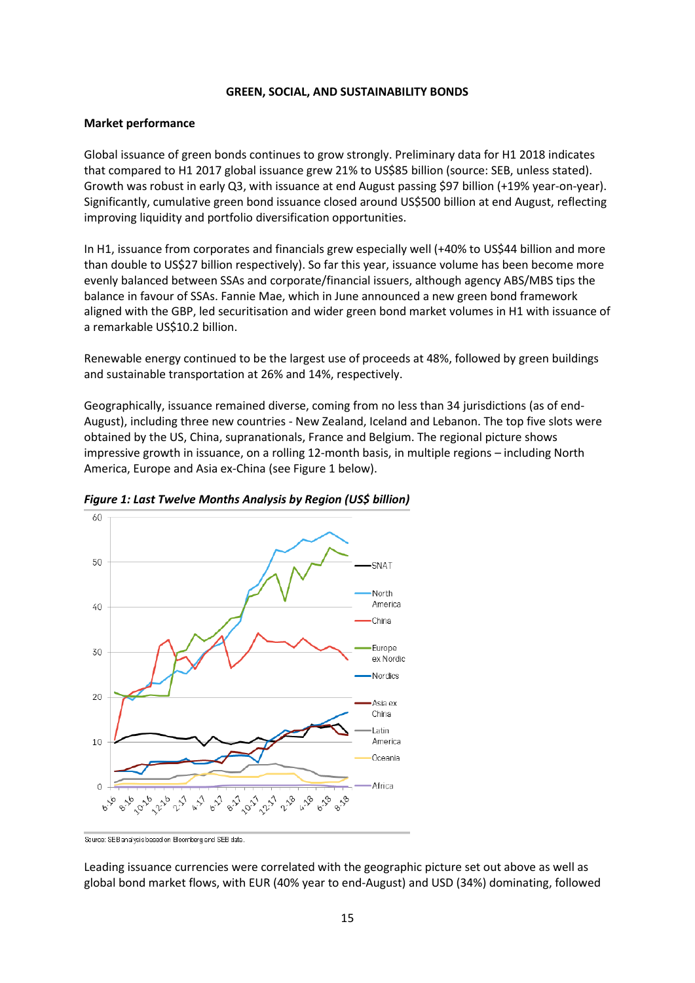#### **GREEN, SOCIAL, AND SUSTAINABILITY BONDS**

#### **Market performance**

Global issuance of green bonds continues to grow strongly. Preliminary data for H1 2018 indicates that compared to H1 2017 global issuance grew 21% to US\$85 billion (source: SEB, unless stated). Growth was robust in early Q3, with issuance at end August passing \$97 billion (+19% year-on-year). Significantly, cumulative green bond issuance closed around US\$500 billion at end August, reflecting improving liquidity and portfolio diversification opportunities.

In H1, issuance from corporates and financials grew especially well (+40% to US\$44 billion and more than double to US\$27 billion respectively). So far this year, issuance volume has been become more evenly balanced between SSAs and corporate/financial issuers, although agency ABS/MBS tips the balance in favour of SSAs. Fannie Mae, which in June announced a new green bond framework aligned with the GBP, led securitisation and wider green bond market volumes in H1 with issuance of a remarkable US\$10.2 billion.

Renewable energy continued to be the largest use of proceeds at 48%, followed by green buildings and sustainable transportation at 26% and 14%, respectively.

Geographically, issuance remained diverse, coming from no less than 34 jurisdictions (as of end-August), including three new countries - New Zealand, Iceland and Lebanon. The top five slots were obtained by the US, China, supranationals, France and Belgium. The regional picture shows impressive growth in issuance, on a rolling 12-month basis, in multiple regions – including North America, Europe and Asia ex-China (see Figure 1 below).



*Figure 1: Last Twelve Months Analysis by Region (US\$ billion)* 

Source: SEB analysis based on Bloomberg and SEB data.

Leading issuance currencies were correlated with the geographic picture set out above as well as global bond market flows, with EUR (40% year to end-August) and USD (34%) dominating, followed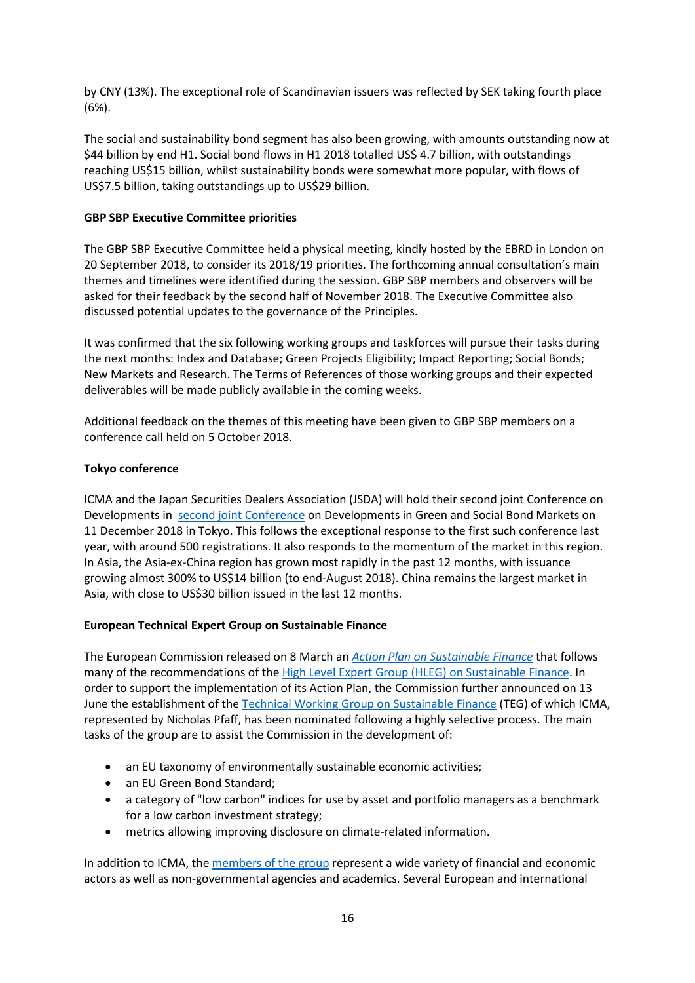by CNY (13%). The exceptional role of Scandinavian issuers was reflected by SEK taking fourth place (6%).

The social and sustainability bond segment has also been growing, with amounts outstanding now at \$44 billion by end H1. Social bond flows in H1 2018 totalled US\$ 4.7 billion, with outstandings reaching US\$15 billion, whilst sustainability bonds were somewhat more popular, with flows of US\$7.5 billion, taking outstandings up to US\$29 billion.

#### **GBP SBP Executive Committee priorities**

The GBP SBP Executive Committee held a physical meeting, kindly hosted by the EBRD in London on 20 September 2018, to consider its 2018/19 priorities. The forthcoming annual consultation's main themes and timelines were identified during the session. GBP SBP members and observers will be asked for their feedback by the second half of November 2018. The Executive Committee also discussed potential updates to the governance of the Principles.

It was confirmed that the six following working groups and taskforces will pursue their tasks during the next months: Index and Database; Green Projects Eligibility; Impact Reporting; Social Bonds; New Markets and Research. The Terms of References of those working groups and their expected deliverables will be made publicly available in the coming weeks.

Additional feedback on the themes of this meeting have been given to GBP SBP members on a conference call held on 5 October 2018.

#### **Tokyo conference**

ICMA and the Japan Securities Dealers Association (JSDA) will hold their second joint Conference on Developments in [second joint Conference](https://www.icmagroup.org/events/annual-icma-and-jsda-joint-conference-developments-in-the-green-and-social-bond-markets-the-asian-perspective/) on Developments in Green and Social Bond Markets on 11 December 2018 in Tokyo. This follows the exceptional response to the first such conference last year, with around 500 registrations. It also responds to the momentum of the market in this region. In Asia, the Asia-ex-China region has grown most rapidly in the past 12 months, with issuance growing almost 300% to US\$14 billion (to end-August 2018). China remains the largest market in Asia, with close to US\$30 billion issued in the last 12 months.

#### **European Technical Expert Group on Sustainable Finance**

The European Commission released on 8 March an *[Action](https://ec.europa.eu/info/publications/180308-action-plan-sustainable-growth_en) Plan on Sustainable Finance* that follows many of the recommendations of the High Level Expert Group (HLEG) on [Sustainable](https://ec.europa.eu/info/business-economy-euro/banking-and-finance/sustainable-finance_en) Finance. In order to support the implementation of its Action Plan, the Commission further announced on 13 June the establishment of the Technical Working Group on [Sustainable](https://ec.europa.eu/info/publications/180613-sustainable-finance-teg-members_en) Finance (TEG) of which ICMA, represented by Nicholas Pfaff, has been nominated following a highly selective process. The main tasks of the group are to assist the Commission in the development of:

- an EU taxonomy of environmentally sustainable economic activities;
- an EU Green Bond Standard;
- a category of "low carbon" indices for use by asset and portfolio managers as a benchmark for a low carbon investment strategy;
- metrics allowing improving disclosure on climate-related information.

In addition to ICMA, the [members](https://ec.europa.eu/info/sites/info/files/180613-sustainable-finance-teg-members_en.pdf) of the group represent a wide variety of financial and economic actors as well as non-governmental agencies and academics. Several European and international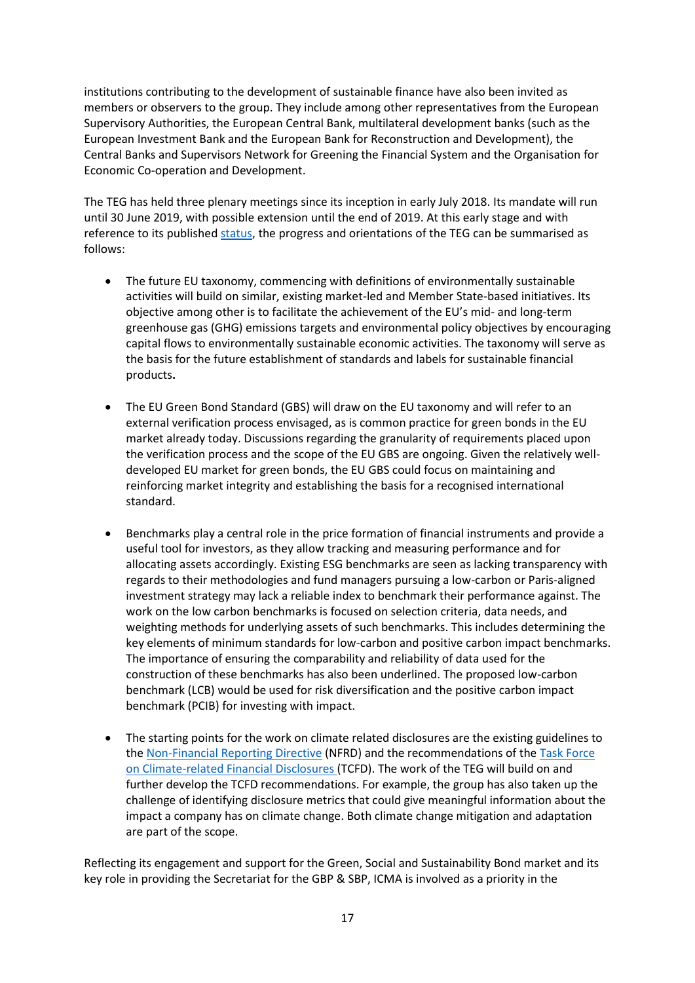institutions contributing to the development of sustainable finance have also been invited as members or observers to the group. They include among other representatives from the European Supervisory Authorities, the European Central Bank, multilateral development banks (such as the European Investment Bank and the European Bank for Reconstruction and Development), the Central Banks and Supervisors Network for Greening the Financial System and the Organisation for Economic Co-operation and Development.

The TEG has held three plenary meetings since its inception in early July 2018. Its mandate will run until 30 June 2019, with possible extension until the end of 2019. At this early stage and with reference to its published [status,](https://ec.europa.eu/info/sites/info/files/180730-teg-statement_en.pdf) the progress and orientations of the TEG can be summarised as follows:

- The future EU taxonomy, commencing with definitions of environmentally sustainable activities will build on similar, existing market-led and Member State-based initiatives. Its objective among other is to facilitate the achievement of the EU's mid- and long-term greenhouse gas (GHG) emissions targets and environmental policy objectives by encouraging capital flows to environmentally sustainable economic activities. The taxonomy will serve as the basis for the future establishment of standards and labels for sustainable financial products**.**
- The EU Green Bond Standard (GBS) will draw on the EU taxonomy and will refer to an external verification process envisaged, as is common practice for green bonds in the EU market already today. Discussions regarding the granularity of requirements placed upon the verification process and the scope of the EU GBS are ongoing. Given the relatively welldeveloped EU market for green bonds, the EU GBS could focus on maintaining and reinforcing market integrity and establishing the basis for a recognised international standard.
- Benchmarks play a central role in the price formation of financial instruments and provide a useful tool for investors, as they allow tracking and measuring performance and for allocating assets accordingly. Existing ESG benchmarks are seen as lacking transparency with regards to their methodologies and fund managers pursuing a low-carbon or Paris-aligned investment strategy may lack a reliable index to benchmark their performance against. The work on the low carbon benchmarks is focused on selection criteria, data needs, and weighting methods for underlying assets of such benchmarks. This includes determining the key elements of minimum standards for low-carbon and positive carbon impact benchmarks. The importance of ensuring the comparability and reliability of data used for the construction of these benchmarks has also been underlined. The proposed low-carbon benchmark (LCB) would be used for risk diversification and the positive carbon impact benchmark (PCIB) for investing with impact.
- The starting points for the work on climate related disclosures are the existing guidelines to th[e Non-Financial](https://ec.europa.eu/info/business-economy-euro/company-reporting-and-auditing/company-reporting/non-financial-reporting_en) Reporting Directive (NFRD) and the recommendations of the Task [Force](https://www.fsb-tcfd.org/) on [Climate-related](https://www.fsb-tcfd.org/) Financial Disclosures (TCFD). The work of the TEG will build on and further develop the TCFD recommendations. For example, the group has also taken up the challenge of identifying disclosure metrics that could give meaningful information about the impact a company has on climate change. Both climate change mitigation and adaptation are part of the scope.

Reflecting its engagement and support for the Green, Social and Sustainability Bond market and its key role in providing the Secretariat for the GBP & SBP, ICMA is involved as a priority in the